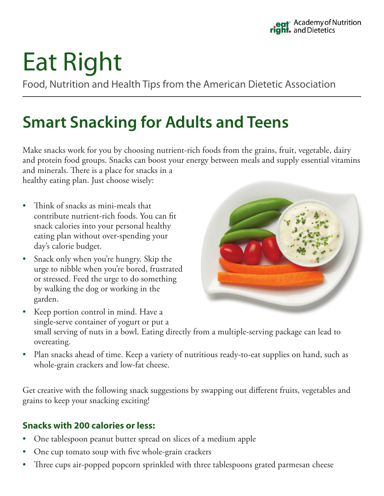# Eat Right

Food, Nutrition and Health Tips from the American Dietetic Association

## **Smart Snacking for Adults and Teens**

Make snacks work for you by choosing nutrient-rich foods from the grains, fruit, vegetable, dairy and protein food groups. Snacks can boost your energy between meals and supply essential vitamins and minerals. There is a place for snacks in a healthy eating plan. Just choose wisely:

- Think of snacks as mini-meals that contribute nutrient-rich foods. You can fit snack calories into your personal healthy eating plan without over-spending your day's calorie budget.
- Snack only when you're hungry. Skip the urge to nibble when you're bored, frustrated or stressed. Feed the urge to do something by walking the dog or working in the garden.



- Keep portion control in mind. Have a single-serve container of yogurt or put a small serving of nuts in a bowl. Eating directly from a multiple-serving package can lead to overeating.
- Plan snacks ahead of time. Keep a variety of nutritious ready-to-eat supplies on hand, such as whole-grain crackers and low-fat cheese.

Get creative with the following snack suggestions by swapping out different fruits, vegetables and grains to keep your snacking exciting!

### **Snacks with 200 calories or less:**

- One tablespoon peanut butter spread on slices of a medium apple
- One cup tomato soup with five whole-grain crackers
- Three cups air-popped popcorn sprinkled with three tablespoons grated parmesan cheese